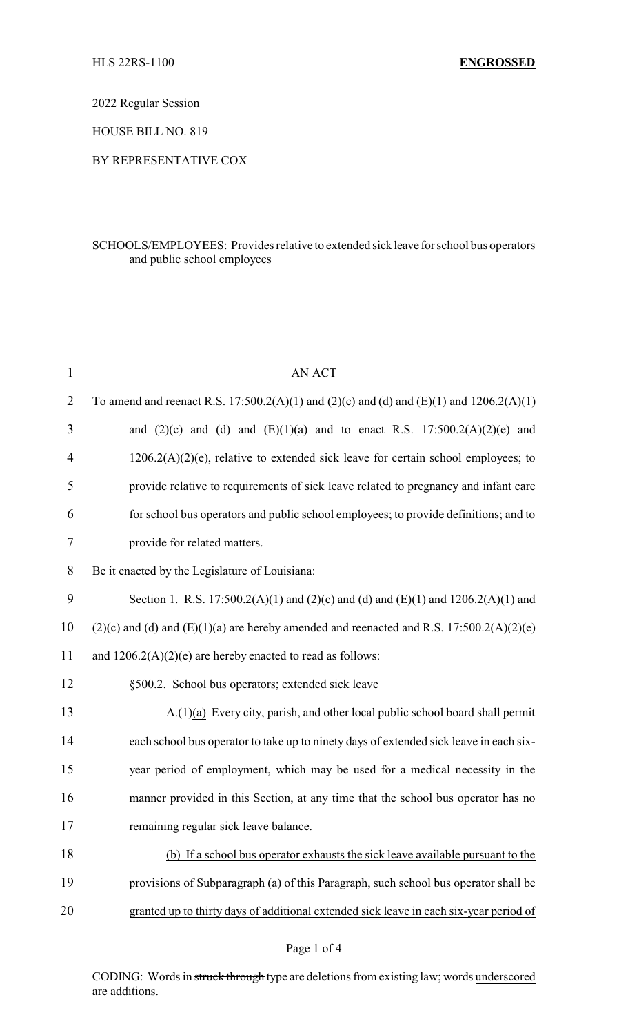2022 Regular Session

HOUSE BILL NO. 819

## BY REPRESENTATIVE COX

## SCHOOLS/EMPLOYEES: Provides relative to extended sick leave for school bus operators and public school employees

| $\mathbf{1}$   | <b>AN ACT</b>                                                                                |
|----------------|----------------------------------------------------------------------------------------------|
| $\overline{2}$ | To amend and reenact R.S. 17:500.2(A)(1) and (2)(c) and (d) and (E)(1) and 1206.2(A)(1)      |
| 3              | and $(2)(c)$ and $(d)$ and $(E)(1)(a)$ and to enact R.S. 17:500.2(A)(2)(e) and               |
| 4              | $1206.2(A)(2)(e)$ , relative to extended sick leave for certain school employees; to         |
| 5              | provide relative to requirements of sick leave related to pregnancy and infant care          |
| 6              | for school bus operators and public school employees; to provide definitions; and to         |
| 7              | provide for related matters.                                                                 |
| 8              | Be it enacted by the Legislature of Louisiana:                                               |
| 9              | Section 1. R.S. 17:500.2(A)(1) and (2)(c) and (d) and (E)(1) and 1206.2(A)(1) and            |
| 10             | $(2)(c)$ and (d) and $(E)(1)(a)$ are hereby amended and reenacted and R.S. 17:500.2(A)(2)(e) |
| 11             | and $1206.2(A)(2)(e)$ are hereby enacted to read as follows:                                 |
| 12             | §500.2. School bus operators; extended sick leave                                            |
| 13             | A.(1)(a) Every city, parish, and other local public school board shall permit                |
| 14             | each school bus operator to take up to ninety days of extended sick leave in each six-       |
| 15             | year period of employment, which may be used for a medical necessity in the                  |
| 16             | manner provided in this Section, at any time that the school bus operator has no             |
| 17             | remaining regular sick leave balance.                                                        |
| 18             | (b) If a school bus operator exhausts the sick leave available pursuant to the               |
| 19             | provisions of Subparagraph (a) of this Paragraph, such school bus operator shall be          |
| 20             | granted up to thirty days of additional extended sick leave in each six-year period of       |
|                |                                                                                              |

## Page 1 of 4

CODING: Words in struck through type are deletions from existing law; words underscored are additions.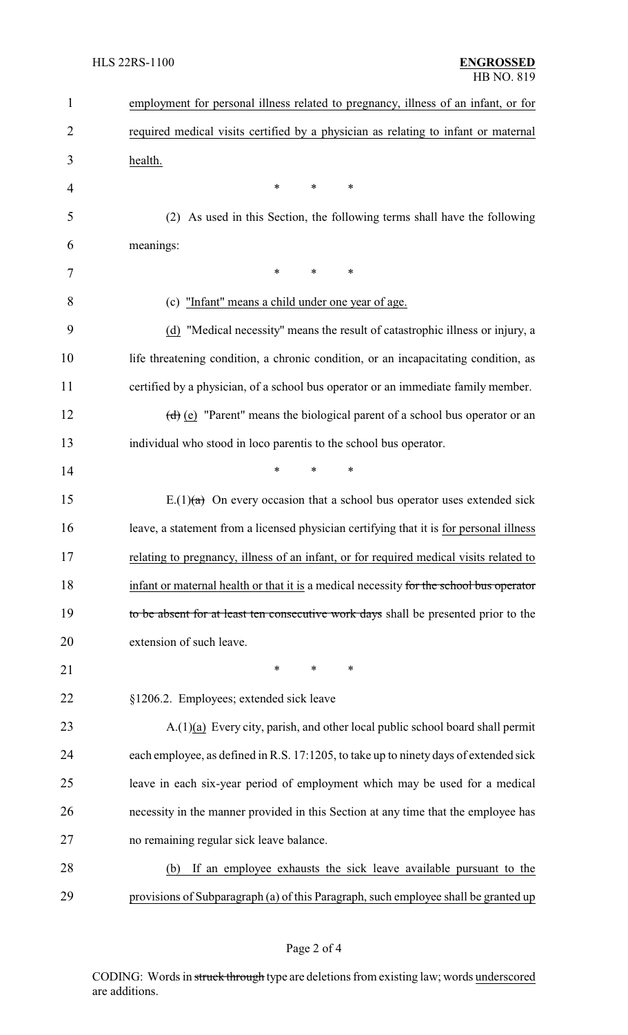| $\mathbf{1}$   | employment for personal illness related to pregnancy, illness of an infant, or for      |
|----------------|-----------------------------------------------------------------------------------------|
| $\overline{2}$ | required medical visits certified by a physician as relating to infant or maternal      |
| 3              | health.                                                                                 |
| $\overline{4}$ | $\ast$<br>∗<br>*                                                                        |
| 5              | As used in this Section, the following terms shall have the following<br>(2)            |
| 6              | meanings:                                                                               |
| 7              | $\ast$<br>∗<br>*                                                                        |
| 8              | (c) "Infant" means a child under one year of age.                                       |
| 9              | (d) "Medical necessity" means the result of catastrophic illness or injury, a           |
| 10             | life threatening condition, a chronic condition, or an incapacitating condition, as     |
| 11             | certified by a physician, of a school bus operator or an immediate family member.       |
| 12             | $(d)$ (e) "Parent" means the biological parent of a school bus operator or an           |
| 13             | individual who stood in loco parentis to the school bus operator.                       |
| 14             | $\ast$<br>$\ast$<br>*                                                                   |
| 15             | E.(1) $(a)$ On every occasion that a school bus operator uses extended sick             |
| 16             | leave, a statement from a licensed physician certifying that it is for personal illness |
| 17             | relating to pregnancy, illness of an infant, or for required medical visits related to  |
| 18             | infant or maternal health or that it is a medical necessity for the school bus operator |
| 19             | to be absent for at least ten consecutive work days shall be presented prior to the     |
| 20             | extension of such leave.                                                                |
| 21             | ∗<br>∗<br>∗                                                                             |
| 22             | §1206.2. Employees; extended sick leave                                                 |
| 23             | $A(1)(a)$ Every city, parish, and other local public school board shall permit          |
| 24             | each employee, as defined in R.S. 17:1205, to take up to ninety days of extended sick   |
| 25             | leave in each six-year period of employment which may be used for a medical             |
| 26             | necessity in the manner provided in this Section at any time that the employee has      |
| 27             | no remaining regular sick leave balance.                                                |
| 28             | If an employee exhausts the sick leave available pursuant to the<br>(b)                 |
| 29             | provisions of Subparagraph (a) of this Paragraph, such employee shall be granted up     |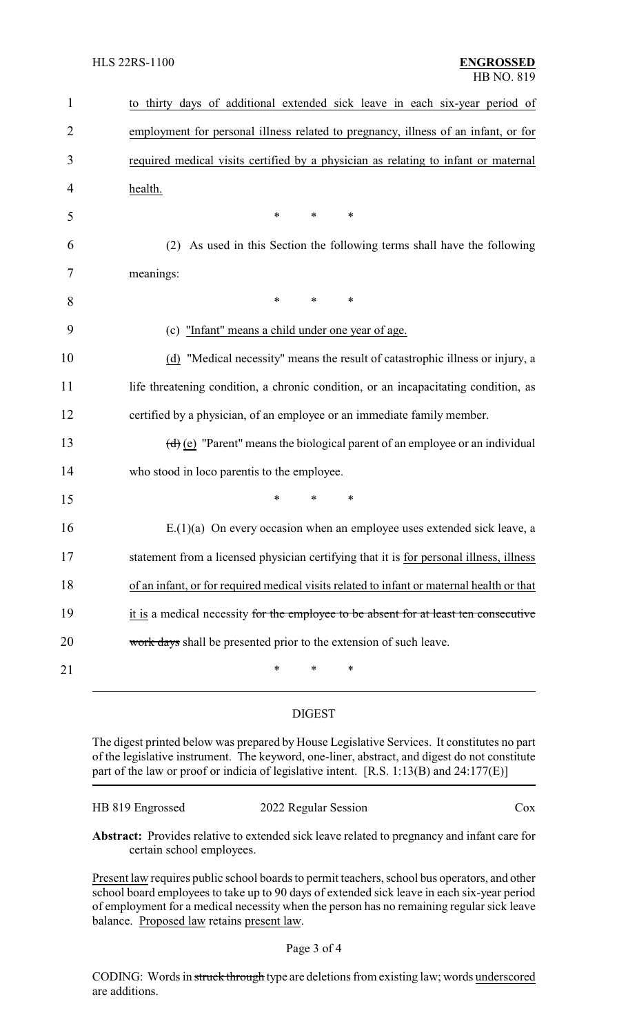| $\mathbf{1}$   | to thirty days of additional extended sick leave in each six-year period of                     |
|----------------|-------------------------------------------------------------------------------------------------|
| $\overline{2}$ | employment for personal illness related to pregnancy, illness of an infant, or for              |
| 3              | required medical visits certified by a physician as relating to infant or maternal              |
| 4              | health.                                                                                         |
| 5              | $\ast$<br>$\ast$<br>∗                                                                           |
| 6              | (2) As used in this Section the following terms shall have the following                        |
| 7              | meanings:                                                                                       |
| 8              | $\ast$<br>$\ast$<br>$\ast$                                                                      |
| 9              | (c) "Infant" means a child under one year of age.                                               |
| 10             | (d) "Medical necessity" means the result of catastrophic illness or injury, a                   |
| 11             | life threatening condition, a chronic condition, or an incapacitating condition, as             |
| 12             | certified by a physician, of an employee or an immediate family member.                         |
| 13             | $\left(\frac{d}{e}\right)$ "Parent" means the biological parent of an employee or an individual |
| 14             | who stood in loco parentis to the employee.                                                     |
| 15             | $\ast$<br>*<br>$\ast$                                                                           |
| 16             | $E(1)(a)$ On every occasion when an employee uses extended sick leave, a                        |
| 17             | statement from a licensed physician certifying that it is for personal illness, illness         |
| 18             | of an infant, or for required medical visits related to infant or maternal health or that       |
| 19             | it is a medical necessity for the employee to be absent for at least ten consecutive            |
| 20             | work days shall be presented prior to the extension of such leave.                              |
| 21             | *<br>*<br>*                                                                                     |

## DIGEST

The digest printed below was prepared by House Legislative Services. It constitutes no part of the legislative instrument. The keyword, one-liner, abstract, and digest do not constitute part of the law or proof or indicia of legislative intent. [R.S. 1:13(B) and 24:177(E)]

| HB 819 Engrossed | 2022 Regular Session | $\cos$ |
|------------------|----------------------|--------|
|                  |                      |        |

**Abstract:** Provides relative to extended sick leave related to pregnancy and infant care for certain school employees.

Present law requires public school boards to permit teachers, school bus operators, and other school board employees to take up to 90 days of extended sick leave in each six-year period of employment for a medical necessity when the person has no remaining regular sick leave balance. Proposed law retains present law.

CODING: Words in struck through type are deletions from existing law; words underscored are additions.